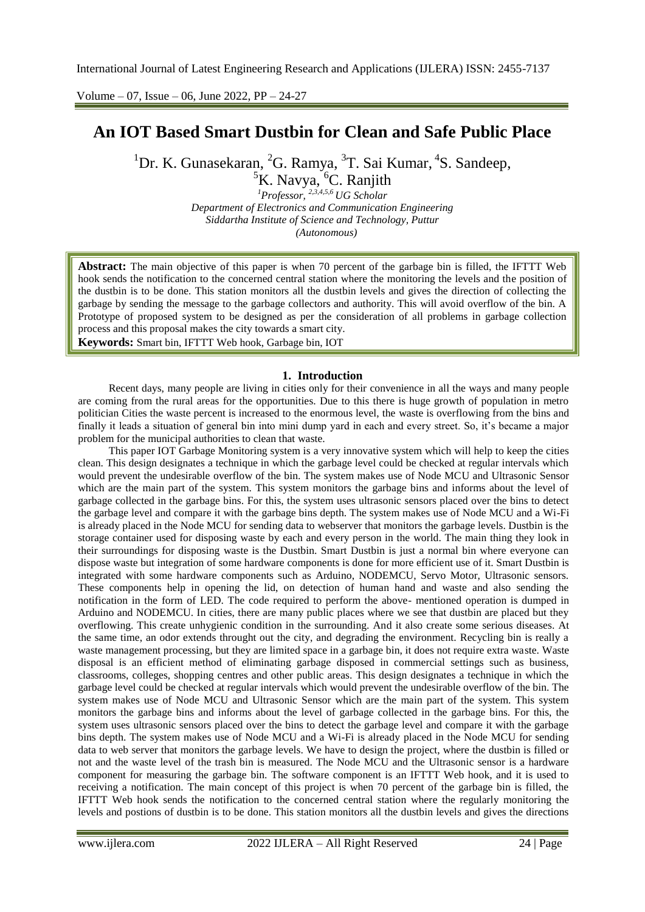Volume – 07, Issue – 06, June 2022, PP – 24-27

# **An IOT Based Smart Dustbin for Clean and Safe Public Place**

<sup>1</sup>Dr. K. Gunasekaran, <sup>2</sup>G. Ramya, <sup>3</sup>T. Sai Kumar, <sup>4</sup>S. Sandeep,

 ${}^5K$ . Navya,  ${}^6C$ . Ranjith

*<sup>1</sup>Professor, 2,3,4,5,6 UG Scholar Department of Electronics and Communication Engineering Siddartha Institute of Science and Technology, Puttur (Autonomous)*

**Abstract:** The main objective of this paper is when 70 percent of the garbage bin is filled, the IFTTT Web hook sends the notification to the concerned central station where the monitoring the levels and the position of the dustbin is to be done. This station monitors all the dustbin levels and gives the direction of collecting the garbage by sending the message to the garbage collectors and authority. This will avoid overflow of the bin. A Prototype of proposed system to be designed as per the consideration of all problems in garbage collection process and this proposal makes the city towards a smart city.

**Keywords:** Smart bin, IFTTT Web hook, Garbage bin, IOT

## **1. Introduction**

Recent days, many people are living in cities only for their convenience in all the ways and many people are coming from the rural areas for the opportunities. Due to this there is huge growth of population in metro politician Cities the waste percent is increased to the enormous level, the waste is overflowing from the bins and finally it leads a situation of general bin into mini dump yard in each and every street. So, it's became a major problem for the municipal authorities to clean that waste.

This paper IOT Garbage Monitoring system is a very innovative system which will help to keep the cities clean. This design designates a technique in which the garbage level could be checked at regular intervals which would prevent the undesirable overflow of the bin. The system makes use of Node MCU and Ultrasonic Sensor which are the main part of the system. This system monitors the garbage bins and informs about the level of garbage collected in the garbage bins. For this, the system uses ultrasonic sensors placed over the bins to detect the garbage level and compare it with the garbage bins depth. The system makes use of Node MCU and a Wi-Fi is already placed in the Node MCU for sending data to webserver that monitors the garbage levels. Dustbin is the storage container used for disposing waste by each and every person in the world. The main thing they look in their surroundings for disposing waste is the Dustbin. Smart Dustbin is just a normal bin where everyone can dispose waste but integration of some hardware components is done for more efficient use of it. Smart Dustbin is integrated with some hardware components such as Arduino, NODEMCU, Servo Motor, Ultrasonic sensors. These components help in opening the lid, on detection of human hand and waste and also sending the notification in the form of LED. The code required to perform the above- mentioned operation is dumped in Arduino and NODEMCU. In cities, there are many public places where we see that dustbin are placed but they overflowing. This create unhygienic condition in the surrounding. And it also create some serious diseases. At the same time, an odor extends throught out the city, and degrading the environment. Recycling bin is really a waste management processing, but they are limited space in a garbage bin, it does not require extra waste. Waste disposal is an efficient method of eliminating garbage disposed in commercial settings such as business, classrooms, colleges, shopping centres and other public areas. This design designates a technique in which the garbage level could be checked at regular intervals which would prevent the undesirable overflow of the bin. The system makes use of Node MCU and Ultrasonic Sensor which are the main part of the system. This system monitors the garbage bins and informs about the level of garbage collected in the garbage bins. For this, the system uses ultrasonic sensors placed over the bins to detect the garbage level and compare it with the garbage bins depth. The system makes use of Node MCU and a Wi-Fi is already placed in the Node MCU for sending data to web server that monitors the garbage levels. We have to design the project, where the dustbin is filled or not and the waste level of the trash bin is measured. The Node MCU and the Ultrasonic sensor is a hardware component for measuring the garbage bin. The software component is an IFTTT Web hook, and it is used to receiving a notification. The main concept of this project is when 70 percent of the garbage bin is filled, the IFTTT Web hook sends the notification to the concerned central station where the regularly monitoring the levels and postions of dustbin is to be done. This station monitors all the dustbin levels and gives the directions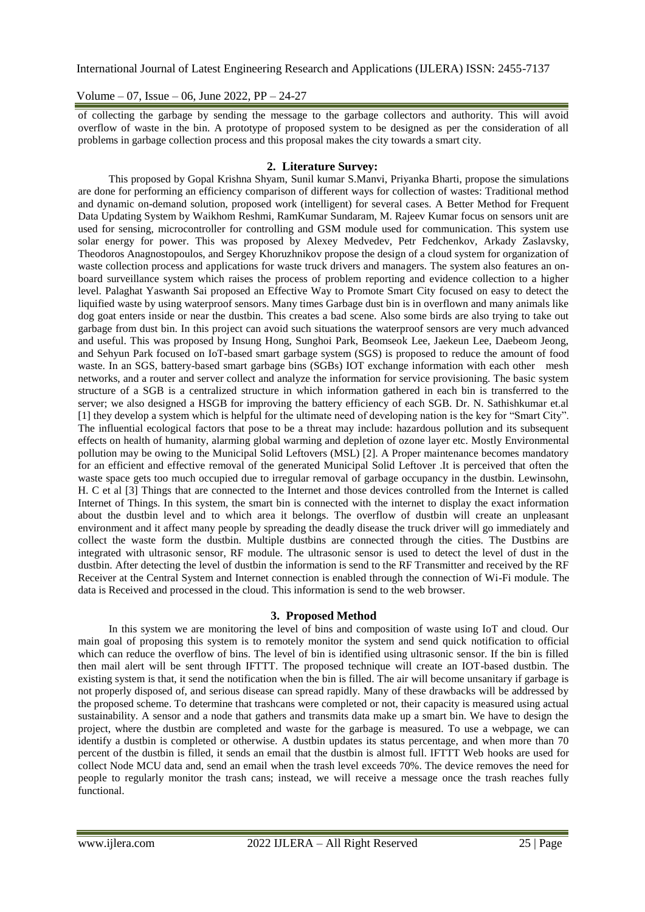Volume – 07, Issue – 06, June 2022, PP – 24-27

of collecting the garbage by sending the message to the garbage collectors and authority. This will avoid overflow of waste in the bin. A prototype of proposed system to be designed as per the consideration of all problems in garbage collection process and this proposal makes the city towards a smart city.

#### **2. Literature Survey:**

This proposed by Gopal Krishna Shyam, Sunil kumar S.Manvi, Priyanka Bharti, propose the simulations are done for performing an efficiency comparison of different ways for collection of wastes: Traditional method and dynamic on-demand solution, proposed work (intelligent) for several cases. A Better Method for Frequent Data Updating System by Waikhom Reshmi, RamKumar Sundaram, M. Rajeev Kumar focus on sensors unit are used for sensing, microcontroller for controlling and GSM module used for communication. This system use solar energy for power. This was proposed by Alexey Medvedev, Petr Fedchenkov, Arkady Zaslavsky, Theodoros Anagnostopoulos, and Sergey Khoruzhnikov propose the design of a cloud system for organization of waste collection process and applications for waste truck drivers and managers. The system also features an onboard surveillance system which raises the process of problem reporting and evidence collection to a higher level. Palaghat Yaswanth Sai proposed an Effective Way to Promote Smart City focused on easy to detect the liquified waste by using waterproof sensors. Many times Garbage dust bin is in overflown and many animals like dog goat enters inside or near the dustbin. This creates a bad scene. Also some birds are also trying to take out garbage from dust bin. In this project can avoid such situations the waterproof sensors are very much advanced and useful. This was proposed by Insung Hong, Sunghoi Park, Beomseok Lee, Jaekeun Lee, Daebeom Jeong, and Sehyun Park focused on IoT-based smart garbage system (SGS) is proposed to reduce the amount of food waste. In an SGS, battery-based smart garbage bins (SGBs) IOT exchange information with each other mesh networks, and a router and server collect and analyze the information for service provisioning. The basic system structure of a SGB is a centralized structure in which information gathered in each bin is transferred to the server; we also designed a HSGB for improving the battery efficiency of each SGB. Dr. N. Sathishkumar et.al [1] they develop a system which is helpful for the ultimate need of developing nation is the key for "Smart City". The influential ecological factors that pose to be a threat may include: hazardous pollution and its subsequent effects on health of humanity, alarming global warming and depletion of ozone layer etc. Mostly Environmental pollution may be owing to the Municipal Solid Leftovers (MSL) [2]. A Proper maintenance becomes mandatory for an efficient and effective removal of the generated Municipal Solid Leftover .It is perceived that often the waste space gets too much occupied due to irregular removal of garbage occupancy in the dustbin. Lewinsohn, H. C et al [3] Things that are connected to the Internet and those devices controlled from the Internet is called Internet of Things. In this system, the smart bin is connected with the internet to display the exact information about the dustbin level and to which area it belongs. The overflow of dustbin will create an unpleasant environment and it affect many people by spreading the deadly disease the truck driver will go immediately and collect the waste form the dustbin. Multiple dustbins are connected through the cities. The Dustbins are integrated with ultrasonic sensor, RF module. The ultrasonic sensor is used to detect the level of dust in the dustbin. After detecting the level of dustbin the information is send to the RF Transmitter and received by the RF Receiver at the Central System and Internet connection is enabled through the connection of Wi-Fi module. The data is Received and processed in the cloud. This information is send to the web browser.

#### **3. Proposed Method**

In this system we are monitoring the level of bins and composition of waste using IoT and cloud. Our main goal of proposing this system is to remotely monitor the system and send quick notification to official which can reduce the overflow of bins. The level of bin is identified using ultrasonic sensor. If the bin is filled then mail alert will be sent through IFTTT. The proposed technique will create an IOT-based dustbin. The existing system is that, it send the notification when the bin is filled. The air will become unsanitary if garbage is not properly disposed of, and serious disease can spread rapidly. Many of these drawbacks will be addressed by the proposed scheme. To determine that trashcans were completed or not, their capacity is measured using actual sustainability. A sensor and a node that gathers and transmits data make up a smart bin. We have to design the project, where the dustbin are completed and waste for the garbage is measured. To use a webpage, we can identify a dustbin is completed or otherwise. A dustbin updates its status percentage, and when more than 70 percent of the dustbin is filled, it sends an email that the dustbin is almost full. IFTTT Web hooks are used for collect Node MCU data and, send an email when the trash level exceeds 70%. The device removes the need for people to regularly monitor the trash cans; instead, we will receive a message once the trash reaches fully functional.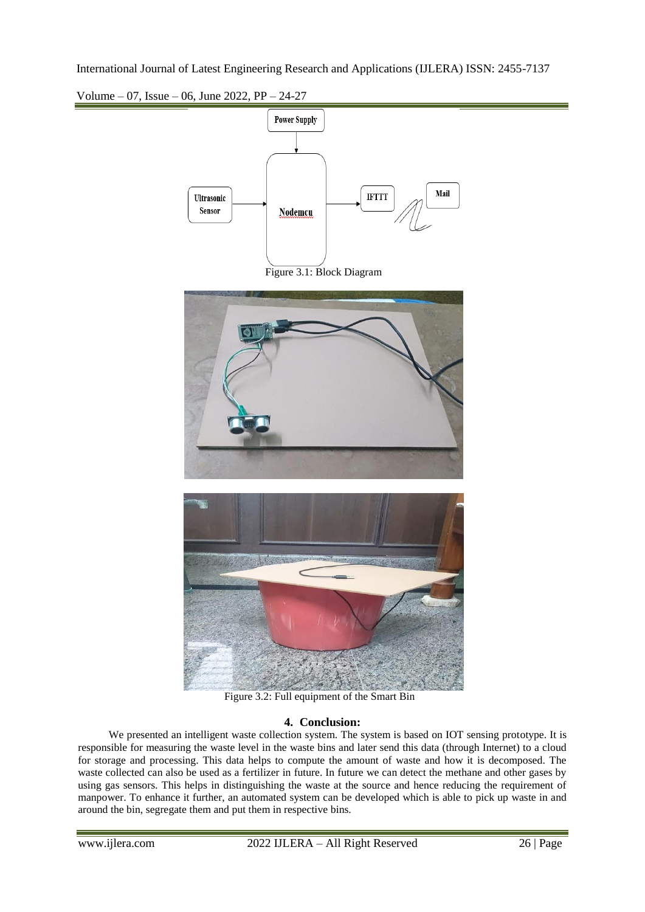Volume – 07, Issue – 06, June 2022, PP – 24-27



Figure 3.2: Full equipment of the Smart Bin

# **4. Conclusion:**

We presented an intelligent waste collection system. The system is based on IOT sensing prototype. It is responsible for measuring the waste level in the waste bins and later send this data (through Internet) to a cloud for storage and processing. This data helps to compute the amount of waste and how it is decomposed. The waste collected can also be used as a fertilizer in future. In future we can detect the methane and other gases by using gas sensors. This helps in distinguishing the waste at the source and hence reducing the requirement of manpower. To enhance it further, an automated system can be developed which is able to pick up waste in and around the bin, segregate them and put them in respective bins.